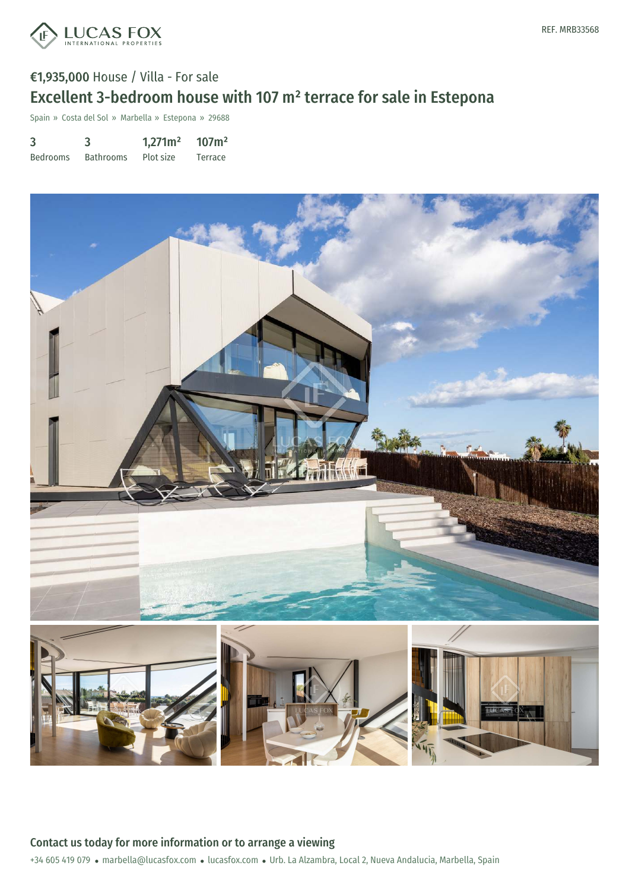

# €1,935,000 House / Villa - For sale Excellent 3-bedroom house with 107 m² terrace for sale in Estepona

Spain » Costa del Sol » Marbella » Estepona » 29688

| 3               | 3                | 1,271m <sup>2</sup> | 107m <sup>2</sup> |
|-----------------|------------------|---------------------|-------------------|
| <b>Bedrooms</b> | <b>Bathrooms</b> | Plot size           | Terrace           |



+34 605 419 079 · marbella@lucasfox.com · lucasfox.com · Urb. La Alzambra, Local 2, Nueva Andalucia, Marbella, Spain Contact us today for more information or to arrange a viewing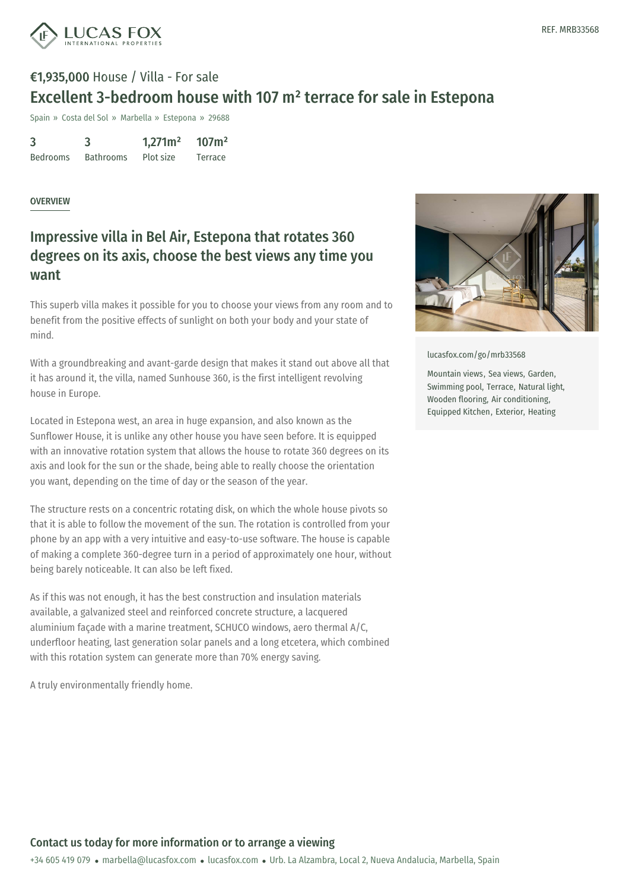

# €1,935,000 House / Villa - For sale Excellent 3-bedroom house with 107 m² terrace for sale in Estepona

Spain » Costa del Sol » Marbella » Estepona » 29688

| 3               | 3                | 1,271m <sup>2</sup> | 107m <sup>2</sup> |
|-----------------|------------------|---------------------|-------------------|
| <b>Bedrooms</b> | <b>Bathrooms</b> | Plot size           | Terrace           |

#### **OVERVIEW**

## Impressive villa in Bel Air, Estepona that rotates 360 degrees on its axis, choose the best views any time you want

This superb villa makes it possible for you to choose your views from any room and to benefit from the positive effects of sunlight on both your body and your state of mind.

With a groundbreaking and avant-garde design that makes it stand out above all that it has around it, the villa, named Sunhouse 360, is the first intelligent revolving house in Europe.

Located in Estepona west, an area in huge expansion, and also known as the Sunflower House, it is unlike any other house you have seen before. It is equipped with an innovative rotation system that allows the house to rotate 360 degrees on its axis and look for the sun or the shade, being able to really choose the orientation you want, depending on the time of day or the season of the year.

The structure rests on a concentric rotating disk, on which the whole house pivots so that it is able to follow the movement of the sun. The rotation is controlled from your phone by an app with a very intuitive and easy-to-use software. The house is capable of making a complete 360-degree turn in a period of approximately one hour, without being barely noticeable. It can also be left fixed.

As if this was not enough, it has the best construction and insulation materials available, a galvanized steel and reinforced concrete structure, a lacquered aluminium façade with a marine treatment, SCHUCO windows, aero thermal A/C, underfloor heating, last generation solar panels and a long etcetera, which combined with this rotation system can [generate](mailto:marbella@lucasfox.com) more [than](https://www.lucasfox.com) 70% energy saving.

A truly environmentally friendly home.



[lucasfox.com/go/mrb33568](https://www.lucasfox.com/go/mrb33568)

Mountain views, Sea views, Garden, Swimming pool, Terrace, Natural light, Wooden flooring, Air conditioning, Equipped Kitchen, Exterior, Heating